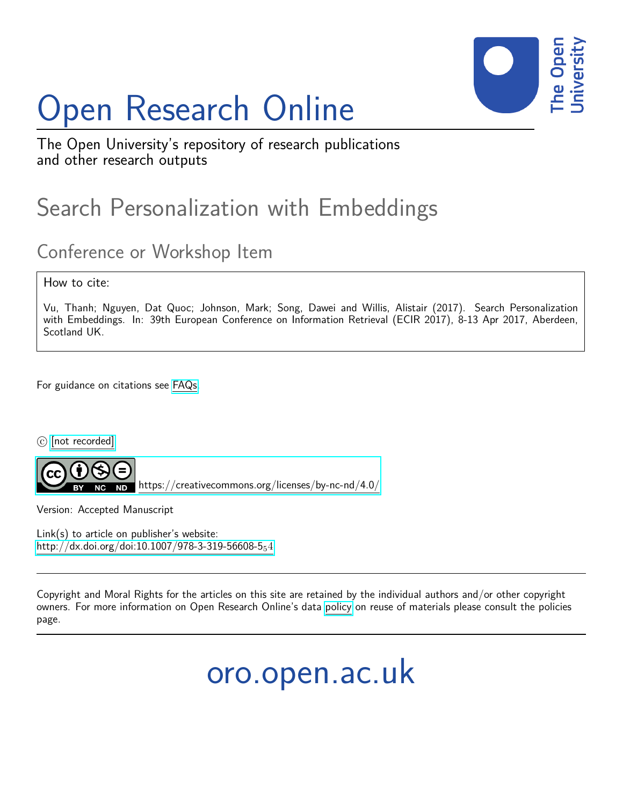# Open Research Online



The Open University's repository of research publications and other research outputs

## Search Personalization with Embeddings

### Conference or Workshop Item

How to cite:

Vu, Thanh; Nguyen, Dat Quoc; Johnson, Mark; Song, Dawei and Willis, Alistair (2017). Search Personalization with Embeddings. In: 39th European Conference on Information Retrieval (ECIR 2017), 8-13 Apr 2017, Aberdeen, Scotland UK.

For guidance on citations see [FAQs.](http://oro.open.ac.uk/help/helpfaq.html)

c [\[not recorded\]](http://oro.open.ac.uk/help/helpfaq.html#Unrecorded_information_on_coversheet)

<https://creativecommons.org/licenses/by-nc-nd/4.0/>

Version: Accepted Manuscript

Link(s) to article on publisher's website: [http://dx.doi.org/doi:10.1007/978-3-319-56608-5](http://dx.doi.org/doi:10.1007/978-3-319-56608-5_54) $_54$ 

Copyright and Moral Rights for the articles on this site are retained by the individual authors and/or other copyright owners. For more information on Open Research Online's data [policy](http://oro.open.ac.uk/policies.html) on reuse of materials please consult the policies page.

oro.open.ac.uk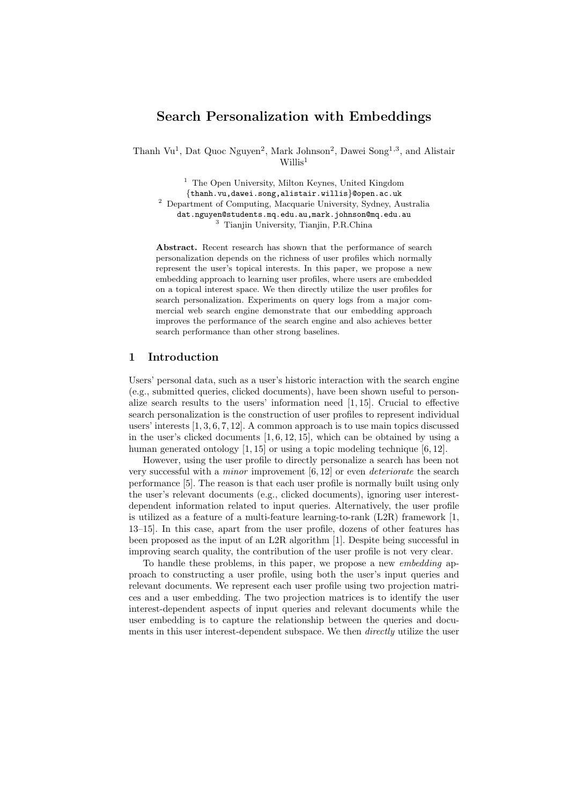#### Search Personalization with Embeddings

Thanh Vu<sup>1</sup>, Dat Quoc Nguyen<sup>2</sup>, Mark Johnson<sup>2</sup>, Dawei Song<sup>1,3</sup>, and Alistair  $W$ illis<sup>1</sup>

<sup>1</sup> The Open University, Milton Keynes, United Kingdom {thanh.vu,dawei.song,alistair.willis}@open.ac.uk <sup>2</sup> Department of Computing, Macquarie University, Sydney, Australia dat.nguyen@students.mq.edu.au,mark.johnson@mq.edu.au <sup>3</sup> Tianjin University, Tianjin, P.R.China

Abstract. Recent research has shown that the performance of search personalization depends on the richness of user profiles which normally represent the user's topical interests. In this paper, we propose a new embedding approach to learning user profiles, where users are embedded on a topical interest space. We then directly utilize the user profiles for search personalization. Experiments on query logs from a major commercial web search engine demonstrate that our embedding approach improves the performance of the search engine and also achieves better search performance than other strong baselines.

#### 1 Introduction

Users' personal data, such as a user's historic interaction with the search engine (e.g., submitted queries, clicked documents), have been shown useful to personalize search results to the users' information need [1, 15]. Crucial to effective search personalization is the construction of user profiles to represent individual users' interests [1, 3, 6, 7, 12]. A common approach is to use main topics discussed in the user's clicked documents  $[1, 6, 12, 15]$ , which can be obtained by using a human generated ontology [1, 15] or using a topic modeling technique [6, 12].

However, using the user profile to directly personalize a search has been not very successful with a minor improvement [6, 12] or even deteriorate the search performance [5]. The reason is that each user profile is normally built using only the user's relevant documents (e.g., clicked documents), ignoring user interestdependent information related to input queries. Alternatively, the user profile is utilized as a feature of a multi-feature learning-to-rank (L2R) framework [1, 13–15]. In this case, apart from the user profile, dozens of other features has been proposed as the input of an L2R algorithm [1]. Despite being successful in improving search quality, the contribution of the user profile is not very clear.

To handle these problems, in this paper, we propose a new *embedding* approach to constructing a user profile, using both the user's input queries and relevant documents. We represent each user profile using two projection matrices and a user embedding. The two projection matrices is to identify the user interest-dependent aspects of input queries and relevant documents while the user embedding is to capture the relationship between the queries and documents in this user interest-dependent subspace. We then *directly* utilize the user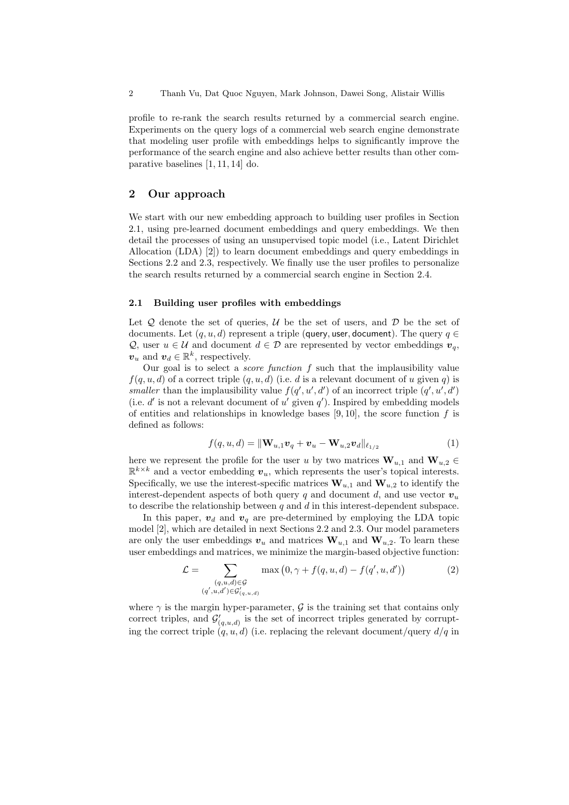profile to re-rank the search results returned by a commercial search engine. Experiments on the query logs of a commercial web search engine demonstrate that modeling user profile with embeddings helps to significantly improve the performance of the search engine and also achieve better results than other comparative baselines [1, 11, 14] do.

#### 2 Our approach

We start with our new embedding approach to building user profiles in Section 2.1, using pre-learned document embeddings and query embeddings. We then detail the processes of using an unsupervised topic model (i.e., Latent Dirichlet Allocation (LDA) [2]) to learn document embeddings and query embeddings in Sections 2.2 and 2.3, respectively. We finally use the user profiles to personalize the search results returned by a commercial search engine in Section 2.4.

#### 2.1 Building user profiles with embeddings

Let  $\mathcal Q$  denote the set of queries,  $\mathcal U$  be the set of users, and  $\mathcal D$  be the set of documents. Let  $(q, u, d)$  represent a triple (query, user, document). The query  $q \in$ Q, user  $u \in \mathcal{U}$  and document  $d \in \mathcal{D}$  are represented by vector embeddings  $v_q$ ,  $v_u$  and  $v_d \in \mathbb{R}^k$ , respectively.

Our goal is to select a *score function*  $f$  such that the implausibility value  $f(q, u, d)$  of a correct triple  $(q, u, d)$  (i.e. d is a relevant document of u given q) is smaller than the implausibility value  $f(q', u', d')$  of an incorrect triple  $(q', u', d')$ (i.e.  $d'$  is not a relevant document of u' given  $q'$ ). Inspired by embedding models of entities and relationships in knowledge bases  $[9, 10]$ , the score function f is defined as follows:

$$
f(q, u, d) = ||\mathbf{W}_{u,1}\mathbf{v}_q + \mathbf{v}_u - \mathbf{W}_{u,2}\mathbf{v}_d||_{\ell_{1/2}}
$$
(1)

here we represent the profile for the user u by two matrices  $\mathbf{W}_{u,1}$  and  $\mathbf{W}_{u,2} \in$  $\mathbb{R}^{k \times k}$  and a vector embedding  $v_u$ , which represents the user's topical interests. Specifically, we use the interest-specific matrices  $\mathbf{W}_{u,1}$  and  $\mathbf{W}_{u,2}$  to identify the interest-dependent aspects of both query q and document d, and use vector  $v_u$ to describe the relationship between  $q$  and  $d$  in this interest-dependent subspace.

In this paper,  $v_d$  and  $v_q$  are pre-determined by employing the LDA topic model [2], which are detailed in next Sections 2.2 and 2.3. Our model parameters are only the user embeddings  $v_u$  and matrices  $\mathbf{W}_{u,1}$  and  $\mathbf{W}_{u,2}$ . To learn these user embeddings and matrices, we minimize the margin-based objective function:

$$
\mathcal{L} = \sum_{\substack{(q,u,d)\in\mathcal{G} \\ (q',u,d')\in\mathcal{G}'_{(q,u,d)}}} \max\left(0,\gamma+f(q,u,d)-f(q',u,d')\right) \tag{2}
$$

where  $\gamma$  is the margin hyper-parameter, G is the training set that contains only correct triples, and  $\mathcal{G}'_{(q,u,d)}$  is the set of incorrect triples generated by corrupting the correct triple  $(q, u, d)$  (i.e. replacing the relevant document/query  $d/q$  in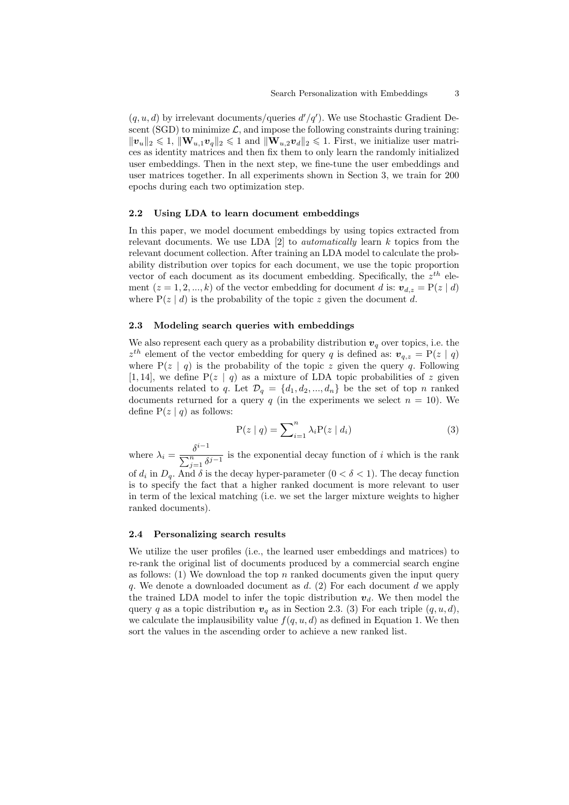$(q, u, d)$  by irrelevant documents/queries  $d'/q'$ ). We use Stochastic Gradient Descent (SGD) to minimize  $\mathcal{L}$ , and impose the following constraints during training:  $||v_u||_2 \leq 1$ ,  $||\mathbf{W}_{u,1}v_q||_2 \leq 1$  and  $||\mathbf{W}_{u,2}v_d||_2 \leq 1$ . First, we initialize user matrices as identity matrices and then fix them to only learn the randomly initialized user embeddings. Then in the next step, we fine-tune the user embeddings and user matrices together. In all experiments shown in Section 3, we train for 200 epochs during each two optimization step.

#### 2.2 Using LDA to learn document embeddings

In this paper, we model document embeddings by using topics extracted from relevant documents. We use LDA  $[2]$  to *automatically* learn k topics from the relevant document collection. After training an LDA model to calculate the probability distribution over topics for each document, we use the topic proportion vector of each document as its document embedding. Specifically, the  $z^{th}$  element  $(z = 1, 2, ..., k)$  of the vector embedding for document d is:  $v_{d,z} = P(z | d)$ where  $P(z | d)$  is the probability of the topic z given the document d.

#### 2.3 Modeling search queries with embeddings

We also represent each query as a probability distribution  $v_q$  over topics, i.e. the  $z^{th}$  element of the vector embedding for query q is defined as:  $v_{q,z} = P(z | q)$ where  $P(z | q)$  is the probability of the topic z given the query q. Following [1, 14], we define  $P(z | q)$  as a mixture of LDA topic probabilities of z given documents related to q. Let  $\mathcal{D}_q = \{d_1, d_2, ..., d_n\}$  be the set of top n ranked documents returned for a query q (in the experiments we select  $n = 10$ ). We define  $P(z | q)$  as follows:

$$
P(z | q) = \sum_{i=1}^{n} \lambda_i P(z | d_i)
$$
\n(3)

where  $\lambda_i = \frac{\delta^{i-1}}{\sum_{i=1}^n \delta_i}$  $\sum_{j=1}^{n} \delta^{j-1}$  is the exponential decay function of i which is the rank of  $d_i$  in  $D_q$ . And  $\delta$  is the decay hyper-parameter  $(0 < \delta < 1)$ . The decay function is to specify the fact that a higher ranked document is more relevant to user in term of the lexical matching (i.e. we set the larger mixture weights to higher ranked documents).

#### 2.4 Personalizing search results

We utilize the user profiles (i.e., the learned user embeddings and matrices) to re-rank the original list of documents produced by a commercial search engine as follows: (1) We download the top  $n$  ranked documents given the input query q. We denote a downloaded document as  $d$ . (2) For each document  $d$  we apply the trained LDA model to infer the topic distribution  $v_d$ . We then model the query q as a topic distribution  $v_q$  as in Section 2.3. (3) For each triple  $(q, u, d)$ , we calculate the implausibility value  $f(q, u, d)$  as defined in Equation 1. We then sort the values in the ascending order to achieve a new ranked list.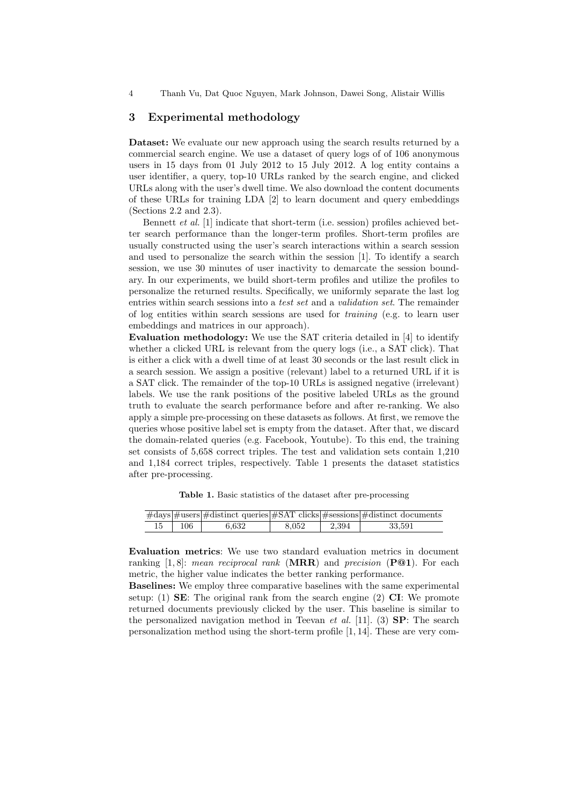4 Thanh Vu, Dat Quoc Nguyen, Mark Johnson, Dawei Song, Alistair Willis

#### 3 Experimental methodology

Dataset: We evaluate our new approach using the search results returned by a commercial search engine. We use a dataset of query logs of of 106 anonymous users in 15 days from 01 July 2012 to 15 July 2012. A log entity contains a user identifier, a query, top-10 URLs ranked by the search engine, and clicked URLs along with the user's dwell time. We also download the content documents of these URLs for training LDA [2] to learn document and query embeddings (Sections 2.2 and 2.3).

Bennett et al. [1] indicate that short-term (i.e. session) profiles achieved better search performance than the longer-term profiles. Short-term profiles are usually constructed using the user's search interactions within a search session and used to personalize the search within the session [1]. To identify a search session, we use 30 minutes of user inactivity to demarcate the session boundary. In our experiments, we build short-term profiles and utilize the profiles to personalize the returned results. Specifically, we uniformly separate the last log entries within search sessions into a test set and a validation set. The remainder of log entities within search sessions are used for training (e.g. to learn user embeddings and matrices in our approach).

Evaluation methodology: We use the SAT criteria detailed in [4] to identify whether a clicked URL is relevant from the query logs (i.e., a SAT click). That is either a click with a dwell time of at least 30 seconds or the last result click in a search session. We assign a positive (relevant) label to a returned URL if it is a SAT click. The remainder of the top-10 URLs is assigned negative (irrelevant) labels. We use the rank positions of the positive labeled URLs as the ground truth to evaluate the search performance before and after re-ranking. We also apply a simple pre-processing on these datasets as follows. At first, we remove the queries whose positive label set is empty from the dataset. After that, we discard the domain-related queries (e.g. Facebook, Youtube). To this end, the training set consists of 5,658 correct triples. The test and validation sets contain 1,210 and 1,184 correct triples, respectively. Table 1 presents the dataset statistics after pre-processing.

Table 1. Basic statistics of the dataset after pre-processing

|     |       |       |       | $\#days$ = $\#users$ = $\#distinct$ queries = $\#SAT$ clicks = $\#sessions$ = $\#distinct$ documents |
|-----|-------|-------|-------|------------------------------------------------------------------------------------------------------|
| 106 | 6.632 | 8.052 | 2.394 | 33,591                                                                                               |

Evaluation metrics: We use two standard evaluation metrics in document ranking [1,8]: mean reciprocal rank  $(MRR)$  and precision  $(P@1)$ . For each metric, the higher value indicates the better ranking performance.

Baselines: We employ three comparative baselines with the same experimental setup: (1) **SE**: The original rank from the search engine (2)  $CI$ : We promote returned documents previously clicked by the user. This baseline is similar to the personalized navigation method in Teevan *et al.* [11]. (3) **SP**: The search personalization method using the short-term profile [1, 14]. These are very com-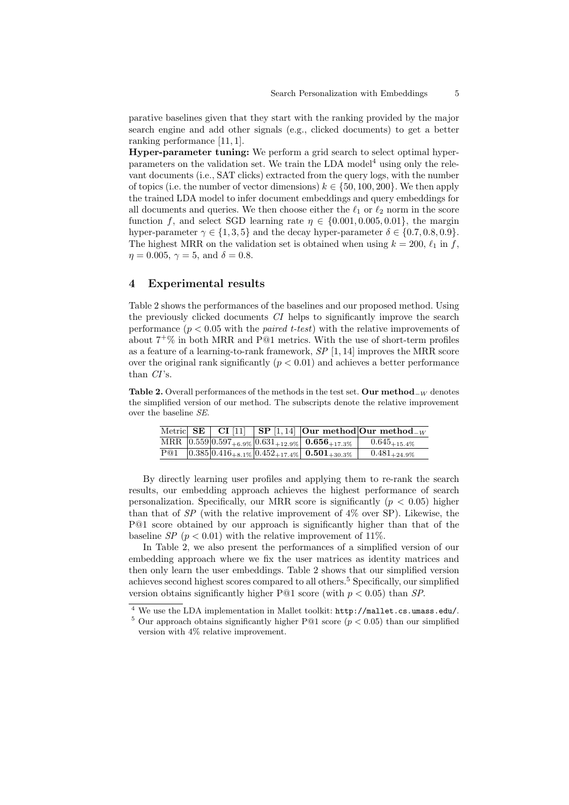parative baselines given that they start with the ranking provided by the major search engine and add other signals (e.g., clicked documents) to get a better ranking performance [11, 1].

Hyper-parameter tuning: We perform a grid search to select optimal hyperparameters on the validation set. We train the LDA model<sup>4</sup> using only the relevant documents (i.e., SAT clicks) extracted from the query logs, with the number of topics (i.e. the number of vector dimensions)  $k \in \{50, 100, 200\}$ . We then apply the trained LDA model to infer document embeddings and query embeddings for all documents and queries. We then choose either the  $\ell_1$  or  $\ell_2$  norm in the score function f, and select SGD learning rate  $\eta \in \{0.001, 0.005, 0.01\}$ , the margin hyper-parameter  $\gamma \in \{1, 3, 5\}$  and the decay hyper-parameter  $\delta \in \{0.7, 0.8, 0.9\}$ . The highest MRR on the validation set is obtained when using  $k = 200, \ell_1$  in f,  $\eta = 0.005, \, \gamma = 5, \, \text{and} \, \delta = 0.8.$ 

#### 4 Experimental results

Table 2 shows the performances of the baselines and our proposed method. Using the previously clicked documents CI helps to significantly improve the search performance  $(p < 0.05$  with the *paired t-test*) with the relative improvements of about  $7^{\text{+}}\%$  in both MRR and P@1 metrics. With the use of short-term profiles as a feature of a learning-to-rank framework,  $SP$  [1, 14] improves the MRR score over the original rank significantly  $(p < 0.01)$  and achieves a better performance than CI's.

Table 2. Overall performances of the methods in the test set. Our method<sub> $-W$ </sub> denotes the simplified version of our method. The subscripts denote the relative improvement over the baseline SE.

|     |  |                                                                                                      | Metric SE CI [11] SP [1,14] Our method Our method $-w$ |
|-----|--|------------------------------------------------------------------------------------------------------|--------------------------------------------------------|
|     |  | MRR $\overline{[0.559]}\overline{0.597}_{+6.9\%}\overline{0.631}_{+12.9\%}\$ 0.656 <sub>+17.3%</sub> | $0.645_{+15.4\%}$                                      |
| P@1 |  | $\left  0.385 \right  0.416_{+8.1\%} \left  0.452_{+17.4\%} \right $ 0.501 <sub>+30.3</sub> %        | $0.481_{+24.9\%}$                                      |

By directly learning user profiles and applying them to re-rank the search results, our embedding approach achieves the highest performance of search personalization. Specifically, our MRR score is significantly ( $p < 0.05$ ) higher than that of  $SP$  (with the relative improvement of  $4\%$  over SP). Likewise, the P@1 score obtained by our approach is significantly higher than that of the baseline SP ( $p < 0.01$ ) with the relative improvement of 11%.

In Table 2, we also present the performances of a simplified version of our embedding approach where we fix the user matrices as identity matrices and then only learn the user embeddings. Table 2 shows that our simplified version achieves second highest scores compared to all others.<sup>5</sup> Specifically, our simplified version obtains significantly higher P@1 score (with  $p < 0.05$ ) than SP.

<sup>4</sup> We use the LDA implementation in Mallet toolkit: http://mallet.cs.umass.edu/.

<sup>&</sup>lt;sup>5</sup> Our approach obtains significantly higher P@1 score ( $p < 0.05$ ) than our simplified version with 4% relative improvement.